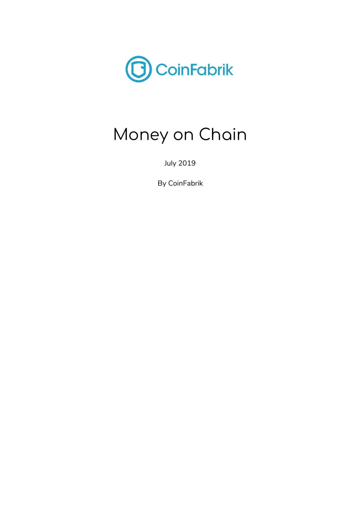

# Money on Chain

July 2019

By CoinFabrik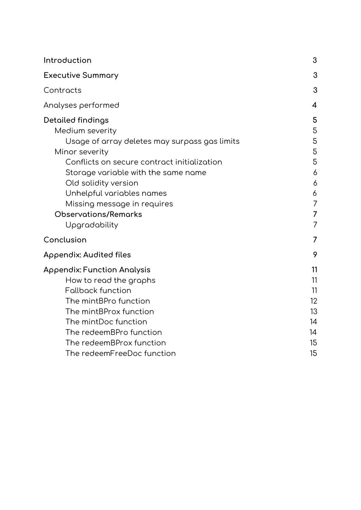| Introduction                                                                                                                                                                                                                                                                                                                             | 3                                                   |
|------------------------------------------------------------------------------------------------------------------------------------------------------------------------------------------------------------------------------------------------------------------------------------------------------------------------------------------|-----------------------------------------------------|
| <b>Executive Summary</b>                                                                                                                                                                                                                                                                                                                 | 3                                                   |
| Contracts                                                                                                                                                                                                                                                                                                                                | 3                                                   |
| Analyses performed                                                                                                                                                                                                                                                                                                                       | $\overline{4}$                                      |
| <b>Detailed findings</b><br>Medium severity<br>Usage of array deletes may surpass gas limits<br>Minor severity<br>Conflicts on secure contract initialization<br>Storage variable with the same name<br>Old solidity version<br>Unhelpful variables names<br>Missing message in requires<br><b>Observations/Remarks</b><br>Upgradability | 5<br>5<br>5<br>5<br>5<br>6<br>6<br>6<br>7<br>7<br>7 |
| Conclusion                                                                                                                                                                                                                                                                                                                               | 7                                                   |
| Appendix: Audited files                                                                                                                                                                                                                                                                                                                  | 9                                                   |
| <b>Appendix: Function Analysis</b><br>How to read the graphs<br><b>Fallback function</b><br>The mintBPro function<br>The mintBProx function<br>The mintDoc function<br>The redeemBPro function<br>The redeemBProx function<br>The redeemFreeDoc function                                                                                 | 11<br>11<br>11<br>12<br>13<br>14<br>14<br>15<br>15  |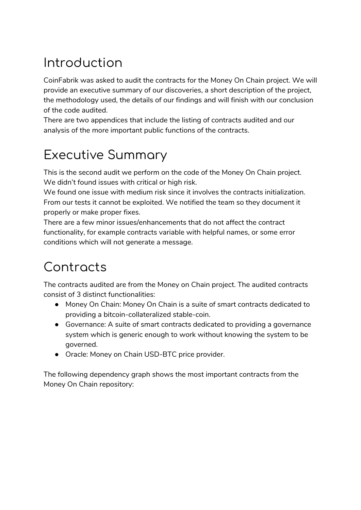## <span id="page-2-0"></span>Introduction

CoinFabrik was asked to audit the contracts for the Money On Chain project. We will provide an executive summary of our discoveries, a short description of the project, the methodology used, the details of our findings and will finish with our conclusion of the code audited.

There are two appendices that include the listing of contracts audited and our analysis of the more important public functions of the contracts.

## <span id="page-2-1"></span>Executive Summary

This is the second audit we perform on the code of the Money On Chain project. We didn't found issues with critical or high risk.

We found one issue with medium risk since it involves the contracts initialization. From our tests it cannot be exploited. We notified the team so they document it properly or make proper fixes.

There are a few minor issues/enhancements that do not affect the contract functionality, for example contracts variable with helpful names, or some error conditions which will not generate a message.

## <span id="page-2-2"></span>Contracts

The contracts audited are from the Money on Chain project. The audited contracts consist of 3 distinct functionalities:

- Money On Chain: Money On Chain is a suite of smart contracts dedicated to providing a bitcoin-collateralized stable-coin.
- Governance: A suite of smart contracts dedicated to providing a governance system which is generic enough to work without knowing the system to be governed.
- Oracle: Money on Chain USD-BTC price provider.

The following dependency graph shows the most important contracts from the Money On Chain repository: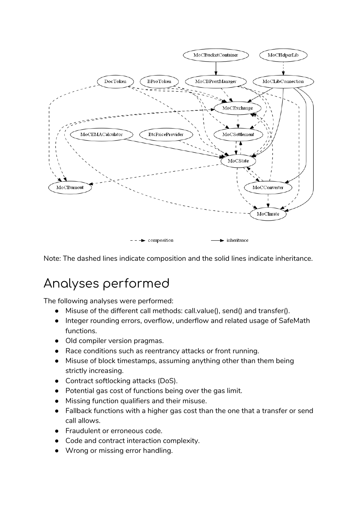

<span id="page-3-0"></span>Note: The dashed lines indicate composition and the solid lines indicate inheritance.

## Analyses performed

The following analyses were performed:

- Misuse of the different call methods: call.value(), send() and transfer().
- Integer rounding errors, overflow, underflow and related usage of SafeMath functions.
- Old compiler version pragmas.
- Race conditions such as reentrancy attacks or front running.
- Misuse of block timestamps, assuming anything other than them being strictly increasing.
- Contract softlocking attacks (DoS).
- Potential gas cost of functions being over the gas limit.
- Missing function qualifiers and their misuse.
- Fallback functions with a higher gas cost than the one that a transfer or send call allows.
- Fraudulent or erroneous code.
- Gode and contract interaction complexity.
- Wrong or missing error handling.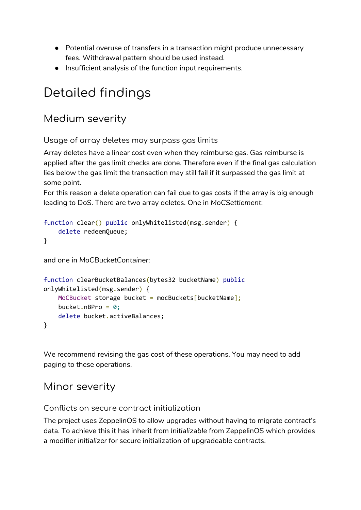- Potential overuse of transfers in a transaction might produce unnecessary fees. Withdrawal pattern should be used instead.
- Insufficient analysis of the function input requirements.

## <span id="page-4-0"></span>Detailed findings

### <span id="page-4-1"></span>Medium severity

<span id="page-4-2"></span>Usage of array deletes may surpass gas limits

Array deletes have a linear cost even when they reimburse gas. Gas reimburse is applied after the gas limit checks are done. Therefore even if the final gas calculation lies below the gas limit the transaction may still fail if it surpassed the gas limit at some point.

For this reason a delete operation can fail due to gas costs if the array is big enough leading to DoS. There are two array deletes. One in *MoCSettlement*:

```
function clear() public onlyWhitelisted(msg.sender) {
    delete redeemQueue;
}
and one in MoCBucketContainer:
function clearBucketBalances(bytes32 bucketName) public
onlyWhitelisted(msg.sender) {
    MoCBucket storage bucket = mocBuckets[bucketName];
    bucket.nBPro = 0;
```
delete bucket.activeBalances;

}

We recommend revising the gas cost of these operations. You may need to add paging to these operations.

### <span id="page-4-3"></span>Minor severity

<span id="page-4-4"></span>Conflicts on secure contract initialization

The project uses ZeppelinOS to allow upgrades without having to migrate contract's data. To achieve this it has inherit from *Initializable* from ZeppelinOS which provides a modifier *initializer* for secure initialization of upgradeable contracts.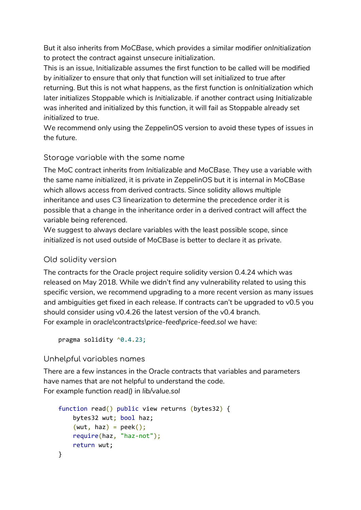But it also inherits from *MoCBase*, which provides a similar modifier *onInitialization* to protect the contract against unsecure initialization.

This is an issue, I*nitializable* assumes the first function to be called will be modified by *initializer* to ensure that only that function will set *initialized* to *true* after returning. But this is not what happens, as the first function is *onInitialization* which later initializes *Stoppable* which is *Initializable*. if another contract using *Initializable* was inherited and initialized by this function, it will fail as Stoppable already set *initialized* to *true*.

We recommend only using the ZeppelinOS version to avoid these types of issues in the future.

### <span id="page-5-0"></span>Storage variable with the same name

The MoC contract inherits from *Initializable* and *MoCBase*. They use a variable with the same name *initialized*, it is private in ZeppelinOS but it is internal in MoCBase which allows access from derived contracts. Since solidity allows multiple inheritance and uses C3 linearization to determine the precedence order it is possible that a change in the inheritance order in a derived contract will affect the variable being referenced.

We suggest to always declare variables with the least possible scope, since *initialized* is not used outside of MoCBase is better to declare it as private.

### <span id="page-5-1"></span>Old solidity version

The contracts for the Oracle project require solidity version 0.4.24 which was released on May 2018. While we didn't find any vulnerability related to using this specific version, we recommend upgrading to a more recent version as many issues and ambiguities get fixed in each release. If contracts can't be upgraded to v0.5 you should consider using v0.4.26 the latest version of the v0.4 branch. For example in *oracle\contracts\price-feed\price-feed.sol* we have:

```
pragma solidity \sqrt{0.4.23};
```
### <span id="page-5-2"></span>Unhelpful variables names

There are a few instances in the Oracle contracts that variables and parameters have names that are not helpful to understand the code. For example function *read()* in *lib/value.sol*

```
function read() public view returns (bytes32) {
    bytes32 wut; bool haz;
    (wut, haz) = peek();
    require(haz, "haz-not");
    return wut;
}
```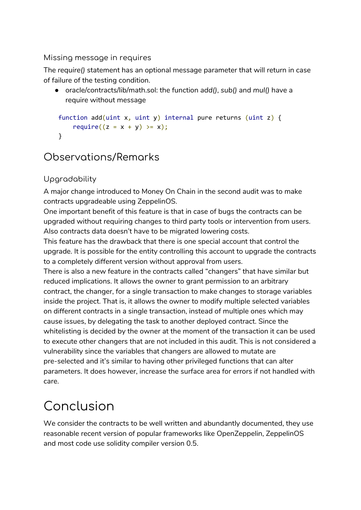### <span id="page-6-0"></span>Missing message in requires

The *require()* statement has an optional message parameter that will return in case of failure of the testing condition.

● oracle/contracts/lib/math.sol: the function *add()*, *sub()* and *mul()* have a require without message

```
function add(uint x, uint y) internal pure returns (uint z) {
    require((z = x + y) \ge x);
}
```
### <span id="page-6-1"></span>Observations/Remarks

### <span id="page-6-2"></span>Upgradability

A major change introduced to Money On Chain in the second audit was to make contracts upgradeable using ZeppelinOS.

One important benefit of this feature is that in case of bugs the contracts can be upgraded without requiring changes to third party tools or intervention from users. Also contracts data doesn't have to be migrated lowering costs.

This feature has the drawback that there is one special account that control the upgrade. It is possible for the entity controlling this account to upgrade the contracts to a completely different version without approval from users.

There is also a new feature in the contracts called "changers" that have similar but reduced implications. It allows the owner to grant permission to an arbitrary contract, the changer, for a single transaction to make changes to storage variables inside the project. That is, it allows the owner to modify multiple selected variables on different contracts in a single transaction, instead of multiple ones which may cause issues, by delegating the task to another deployed contract. Since the whitelisting is decided by the owner at the moment of the transaction it can be used to execute other changers that are not included in this audit. This is not considered a vulnerability since the variables that changers are allowed to mutate are pre-selected and it's similar to having other privileged functions that can alter parameters. It does however, increase the surface area for errors if not handled with care.

## <span id="page-6-3"></span>Conclusion

We consider the contracts to be well written and abundantly documented, they use reasonable recent version of popular frameworks like OpenZeppelin, ZeppelinOS and most code use solidity compiler version 0.5.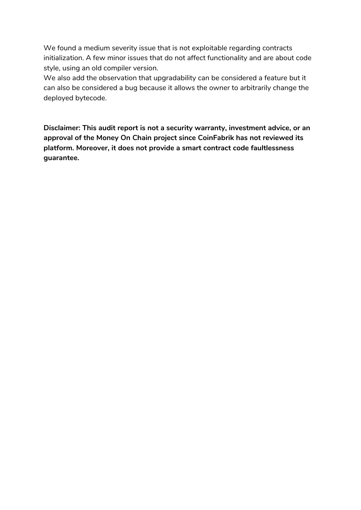We found a medium severity issue that is not exploitable regarding contracts initialization. A few minor issues that do not affect functionality and are about code style, using an old compiler version.

We also add the observation that upgradability can be considered a feature but it can also be considered a bug because it allows the owner to arbitrarily change the deployed bytecode.

**Disclaimer: This audit report is not a security warranty, investment advice, or an approval of the Money On Chain project since CoinFabrik has not reviewed its platform. Moreover, it does not provide a smart contract code faultlessness guarantee.**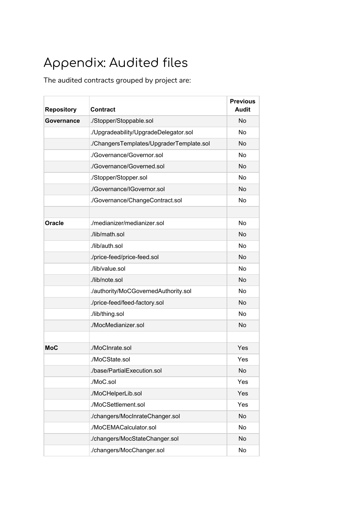## <span id="page-8-0"></span>Appendix: Audited files

The audited contracts grouped by project are:

| <b>Repository</b> | <b>Contract</b>                          | <b>Previous</b><br><b>Audit</b> |
|-------------------|------------------------------------------|---------------------------------|
| Governance        | ./Stopper/Stoppable.sol                  | <b>No</b>                       |
|                   | ./Upgradeability/UpgradeDelegator.sol    | No.                             |
|                   | ./ChangersTemplates/UpgraderTemplate.sol | <b>No</b>                       |
|                   | ./Governance/Governor.sol                | <b>No</b>                       |
|                   | ./Governance/Governed.sol                | <b>No</b>                       |
|                   | ./Stopper/Stopper.sol                    | <b>No</b>                       |
|                   | ./Governance/IGovernor.sol               | <b>No</b>                       |
|                   | ./Governance/ChangeContract.sol          | <b>No</b>                       |
|                   |                                          |                                 |
| <b>Oracle</b>     | ./medianizer/medianizer.sol              | <b>No</b>                       |
|                   | ./lib/math.sol                           | <b>No</b>                       |
|                   | ./lib/auth.sol                           | <b>No</b>                       |
|                   | ./price-feed/price-feed.sol              | <b>No</b>                       |
|                   | ./lib/value.sol                          | <b>No</b>                       |
|                   | ./lib/note.sol                           | <b>No</b>                       |
|                   | ./authority/MoCGovernedAuthority.sol     | <b>No</b>                       |
|                   | ./price-feed/feed-factory.sol            | <b>No</b>                       |
|                   | ./lib/thing.sol                          | <b>No</b>                       |
|                   | ./MocMedianizer.sol                      | <b>No</b>                       |
|                   |                                          |                                 |
| <b>MoC</b>        | ./MoCInrate.sol                          | Yes                             |
|                   | ./MoCState.sol                           | Yes                             |
|                   | ./base/PartialExecution.sol              | <b>No</b>                       |
|                   | ./MoC.sol                                | Yes                             |
|                   | ./MoCHelperLib.sol                       | Yes                             |
|                   | ./MoCSettlement.sol                      | Yes                             |
|                   | ./changers/MocInrateChanger.sol          | <b>No</b>                       |
|                   | ./MoCEMACalculator.sol                   | No                              |
|                   | ./changers/MocStateChanger.sol           | No                              |
|                   | ./changers/MocChanger.sol                | No                              |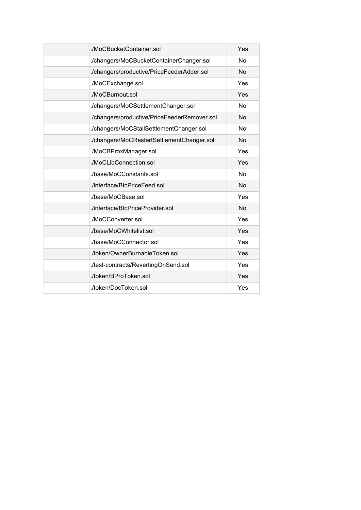| ./MoCBucketContainer.sol                     | Yes       |
|----------------------------------------------|-----------|
| ./changers/MoCBucketContainerChanger.sol     | <b>No</b> |
| ./changers/productive/PriceFeederAdder.sol   | <b>No</b> |
| ./MoCExchange.sol                            | Yes       |
| ./MoCBurnout.sol                             | Yes       |
| ./changers/MoCSettlementChanger.sol          | <b>No</b> |
| ./changers/productive/PriceFeederRemover.sol | <b>No</b> |
| ./changers/MoCStallSettlementChanger.sol     | <b>No</b> |
| ./changers/MoCRestartSettlementChanger.sol   | <b>No</b> |
| ./MoCBProxManager.sol                        | Yes       |
| ./MoCLibConnection.sol                       | Yes       |
| ./base/MoCConstants.sol                      | <b>No</b> |
| ./interface/BtcPriceFeed.sol                 | <b>No</b> |
| ./base/MoCBase.sol                           | Yes       |
| ./interface/BtcPriceProvider.sol             | <b>No</b> |
| ./MoCConverter.sol                           | Yes       |
| ./base/MoCWhitelist.sol                      | Yes       |
| ./base/MoCConnector.sol                      | Yes       |
| ./token/OwnerBurnableToken.sol               | Yes       |
| ./test-contracts/RevertingOnSend.sol         | Yes       |
| ./token/BProToken.sol                        | Yes       |
| ./token/DocToken.sol                         | Yes       |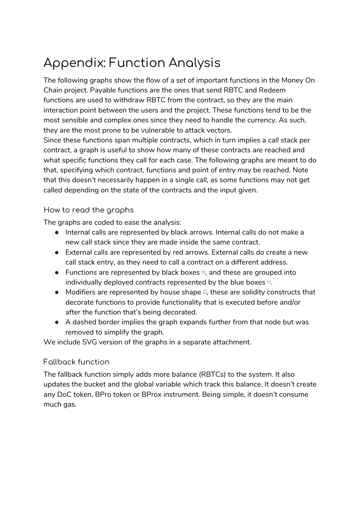## <span id="page-10-0"></span>Appendix: Function Analysis

The following graphs show the flow of a set of important functions in the Money On Chain project. Payable functions are the ones that send RBTC and Redeem functions are used to withdraw RBTC from the contract, so they are the main interaction point between the users and the project. These functions tend to be the most sensible and complex ones since they need to handle the currency. As such, they are the most prone to be vulnerable to attack vectors.

Since these functions span multiple contracts, which in turn implies a call stack per contract, a graph is useful to show how many of these contracts are reached and what specific functions they call for each case. The following graphs are meant to do that, specifying which contract, functions and point of entry may be reached. Note that this doesn't necessarily happen in a single call, as some functions may not get called depending on the state of the contracts and the input given.

#### <span id="page-10-1"></span>How to read the graphs

The graphs are coded to ease the analysis:

- Internal calls are represented by black arrows. Internal calls do not make a new call stack since they are made inside the same contract.
- External calls are represented by red arrows. External calls do create a new call stack entry, as they need to call a contract on a different address.
- Functions are represented by black boxes  $\Box$ , and these are grouped into individually deployed contracts represented by the blue boxes ▭.
- $\bullet$  Modifiers are represented by house shape  $\hat{a}$ , these are solidity constructs that decorate functions to provide functionality that is executed before and/or after the function that's being decorated.
- A dashed border implies the graph expands further from that node but was removed to simplify the graph.

<span id="page-10-2"></span>We include SVG version of the graphs in a separate attachment.

### Fallback function

The fallback function simply adds more balance (RBTCs) to the system. It also updates the bucket and the global variable which track this balance. It doesn't create any DoC token, BPro token or BProx instrument. Being simple, it doesn't consume much gas.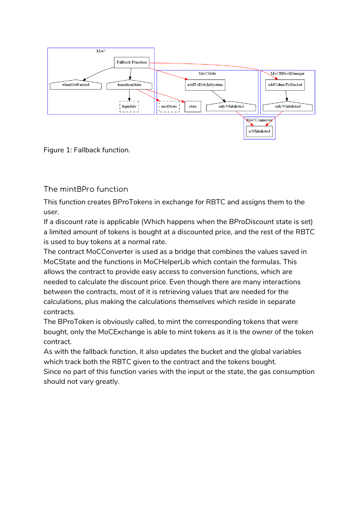

<span id="page-11-0"></span>Figure 1: Fallback function.

The mintBPro function

This function creates BProTokens in exchange for RBTC and assigns them to the user.

If a discount rate is applicable (Which happens when the *BProDiscount* state is set) a limited amount of tokens is bought at a discounted price, and the rest of the RBTC is used to buy tokens at a normal rate.

The contract MoCConverter is used as a bridge that combines the values saved in MoCState and the functions in MoCHelperLib which contain the formulas. This allows the contract to provide easy access to conversion functions, which are needed to calculate the discount price. Even though there are many interactions between the contracts, most of it is retrieving values that are needed for the calculations, plus making the calculations themselves which reside in separate contracts.

The BProToken is obviously called, to mint the corresponding tokens that were bought, only the MoCExchange is able to mint tokens as it is the owner of the token contract.

As with the fallback function, it also updates the bucket and the global variables which track both the RBTC given to the contract and the tokens bought.

Since no part of this function varies with the input or the state, the gas consumption should not vary greatly.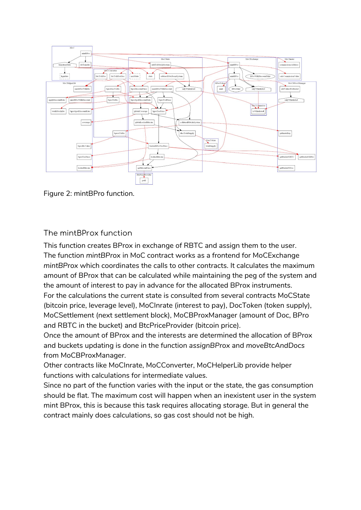

<span id="page-12-0"></span>Figure 2: mintBPro function.

### The mintBProx function

This function creates BProx in exchange of RBTC and assign them to the user. The function *mintBProx* in MoC contract works as a frontend for MoCExchange *mintBProx* which coordinates the calls to other contracts. It calculates the maximum amount of BProx that can be calculated while maintaining the peg of the system and the amount of interest to pay in advance for the allocated BProx instruments. For the calculations the current state is consulted from several contracts MoCState (bitcoin price, leverage level), MoCInrate (interest to pay), DocToken (token supply), MoCSettlement (next settlement block), MoCBProxManager (amount of Doc, BPro and RBTC in the bucket) and BtcPriceProvider (bitcoin price).

Once the amount of BProx and the interests are determined the allocation of BProx and buckets updating is done in the function *assignBProx* and *moveBtcAndDocs* from MoCBProxManager.

Other contracts like MoCInrate, MoCConverter, MoCHelperLib provide helper functions with calculations for intermediate values.

Since no part of the function varies with the input or the state, the gas consumption should be flat. The maximum cost will happen when an inexistent user in the system mint BProx, this is because this task requires allocating storage. But in general the contract mainly does calculations, so gas cost should not be high.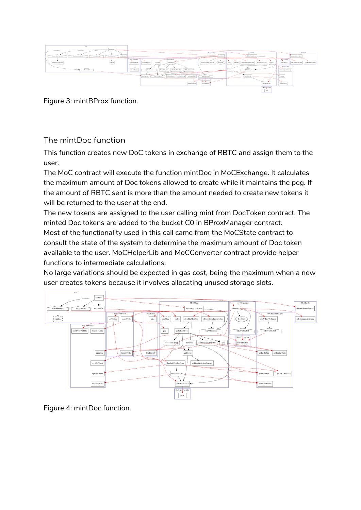

<span id="page-13-0"></span>Figure 3: mintBProx function.

The mintDoc function

This function creates new DoC tokens in exchange of RBTC and assign them to the user.

The MoC contract will execute the function mintDoc in MoCExchange. It calculates the maximum amount of Doc tokens allowed to create while it maintains the peg. If the amount of RBTC sent is more than the amount needed to create new tokens it will be returned to the user at the end.

The new tokens are assigned to the user calling mint from DocToken contract. The minted Doc tokens are added to the bucket C0 in BProxManager contract. Most of the functionality used in this call came from the MoCState contract to consult the state of the system to determine the maximum amount of Doc token available to the user. MoCHelperLib and MoCConverter contract provide helper functions to intermediate calculations.

No large variations should be expected in gas cost, being the maximum when a new user creates tokens because it involves allocating unused storage slots.



Figure 4: mintDoc function.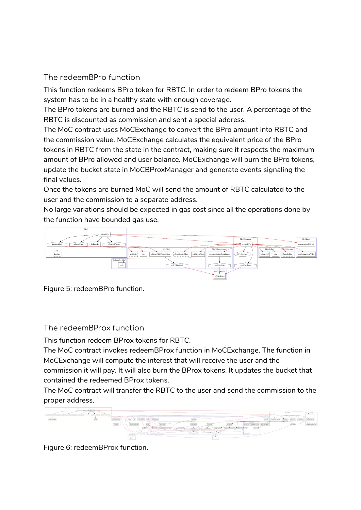### <span id="page-14-0"></span>The redeemBPro function

This function redeems BPro token for RBTC. In order to redeem BPro tokens the system has to be in a healthy state with enough coverage.

The BPro tokens are burned and the RBTC is send to the user. A percentage of the RBTC is discounted as commission and sent a special address.

The MoC contract uses MoCExchange to convert the BPro amount into RBTC and the commission value. MoCExchange calculates the equivalent price of the BPro tokens in RBTC from the state in the contract, making sure it respects the maximum amount of BPro allowed and user balance. MoCExchange will burn the BPro tokens, update the bucket state in MoCBProxManager and generate events signaling the final values.

Once the tokens are burned MoC will send the amount of RBTC calculated to the user and the commission to a separate address.

No large variations should be expected in gas cost since all the operations done by the function have bounded gas use.



<span id="page-14-1"></span>Figure 5: redeemBPro function.

The redeemBProx function

This function redeem BProx tokens for RBTC.

The MoC contract invokes redeemBProx function in MoCExchange. The function in MoCExchange will compute the interest that will receive the user and the commission it will pay. It will also burn the BProx tokens. It updates the bucket that contained the redeemed BProx tokens.

The MoC contract will transfer the RBTC to the user and send the commission to the proper address.



Figure 6: redeemBProx function.